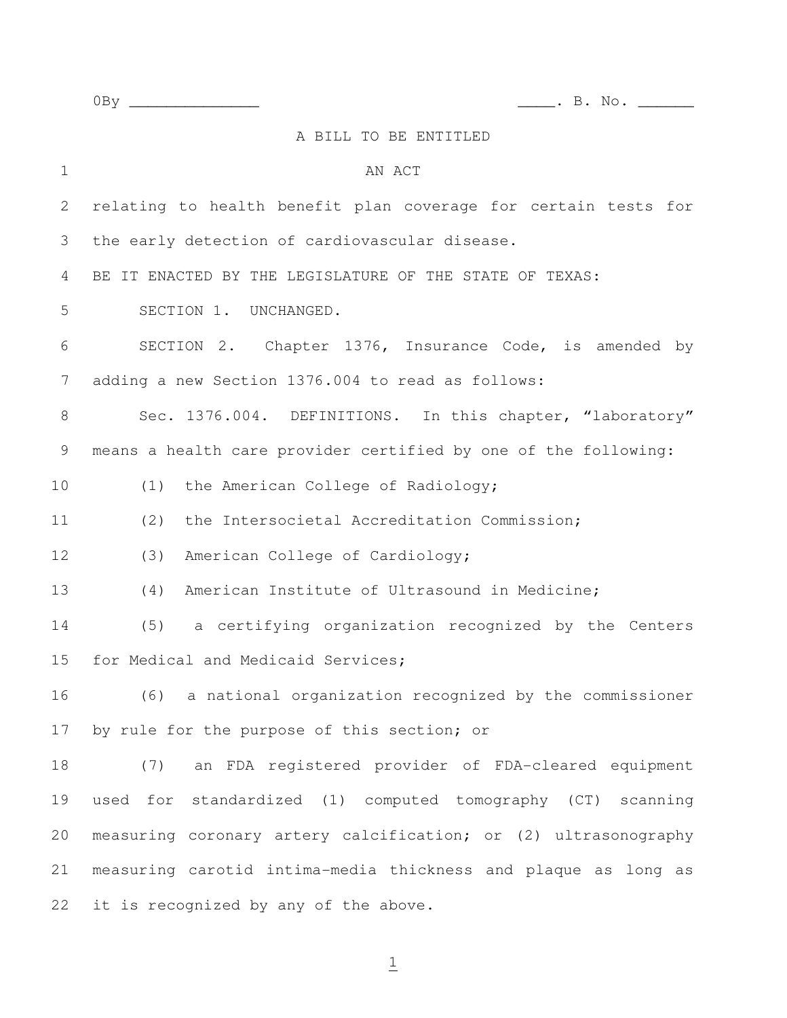0By \_\_\_\_\_\_\_\_\_\_\_\_\_\_ \_\_\_\_. B. No. \_\_\_\_\_\_

|                | A BILL TO BE ENTITLED                                           |
|----------------|-----------------------------------------------------------------|
| $\mathbf 1$    | AN ACT                                                          |
| $\overline{2}$ | relating to health benefit plan coverage for certain tests for  |
| 3              | the early detection of cardiovascular disease.                  |
| 4              | BE IT ENACTED BY THE LEGISLATURE OF THE STATE OF TEXAS:         |
| 5              | SECTION 1. UNCHANGED.                                           |
| 6              | SECTION 2. Chapter 1376, Insurance Code, is amended by          |
| $\overline{7}$ | adding a new Section 1376.004 to read as follows:               |
| 8              | Sec. 1376.004. DEFINITIONS. In this chapter, "laboratory"       |
| 9              | means a health care provider certified by one of the following: |
| 10             | (1) the American College of Radiology;                          |
| 11             | the Intersocietal Accreditation Commission;<br>(2)              |
| 12             | (3)<br>American College of Cardiology;                          |
| 13             | American Institute of Ultrasound in Medicine;<br>(4)            |
| 14             | (5) a certifying organization recognized by the Centers         |
| 15             | for Medical and Medicaid Services;                              |
| 16             | (6) a national organization recognized by the commissioner      |
| 17             | by rule for the purpose of this section; or                     |
| 18             | (7) an FDA registered provider of FDA-cleared equipment         |
| 19             | used for standardized (1) computed tomography (CT) scanning     |
| 20             | measuring coronary artery calcification; or (2) ultrasonography |
| 21             | measuring carotid intima-media thickness and plaque as long as  |
| 22             | it is recognized by any of the above.                           |

 $\overline{1}$